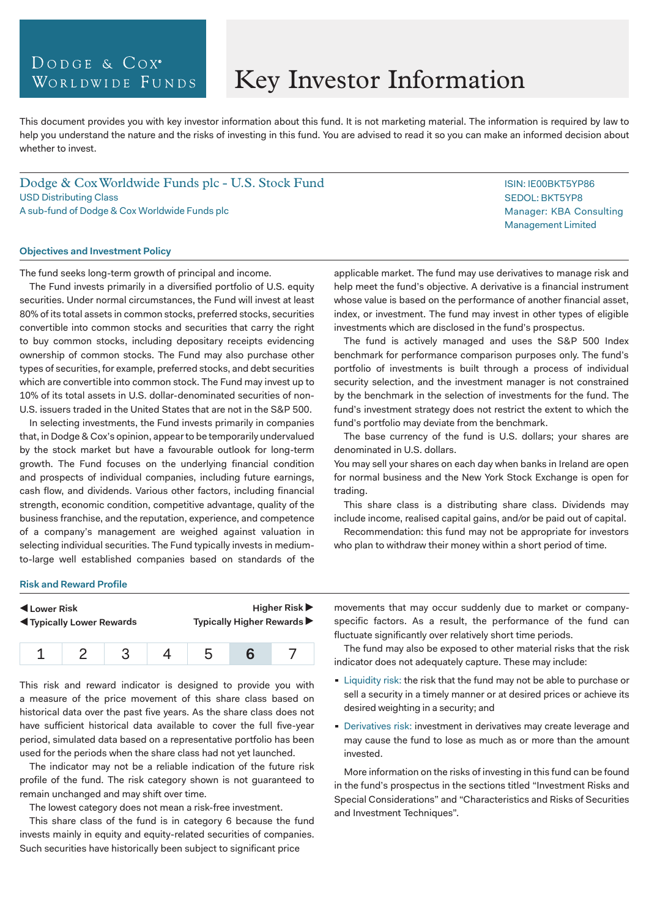# DODGE & COX<sup>®</sup> WORLDWIDE FUNDS

# Key Investor Information

This document provides you with key investor information about this fund. It is not marketing material. The information is required by law to help you understand the nature and the risks of investing in this fund. You are advised to read it so you can make an informed decision about whether to invest.

Dodge & Cox Worldwide Funds plc - U.S. Stock Fund USD Distributing Class A sub-fund of Dodge & Cox Worldwide Funds plc

### **Objectives and Investment Policy**

The fund seeks long-term growth of principal and income.

The Fund invests primarily in a diversified portfolio of U.S. equity securities. Under normal circumstances, the Fund will invest at least 80% of its total assets in common stocks, preferred stocks, securities convertible into common stocks and securities that carry the right to buy common stocks, including depositary receipts evidencing ownership of common stocks. The Fund may also purchase other types of securities, for example, preferred stocks, and debt securities which are convertible into common stock. The Fund may invest up to 10% of its total assets in U.S. dollar-denominated securities of non-U.S. issuers traded in the United States that are not in the S&P 500.

In selecting investments, the Fund invests primarily in companies that, in Dodge & Cox's opinion, appear to be temporarily undervalued by the stock market but have a favourable outlook for long-term growth. The Fund focuses on the underlying financial condition and prospects of individual companies, including future earnings, cash flow, and dividends. Various other factors, including financial strength, economic condition, competitive advantage, quality of the business franchise, and the reputation, experience, and competence of a company's management are weighed against valuation in selecting individual securities. The Fund typically invests in mediumto-large well established companies based on standards of the

applicable market. The fund may use derivatives to manage risk and help meet the fund's objective. A derivative is a financial instrument whose value is based on the performance of another financial asset, index, or investment. The fund may invest in other types of eligible investments which are disclosed in the fund's prospectus.

The fund is actively managed and uses the S&P 500 Index benchmark for performance comparison purposes only. The fund's portfolio of investments is built through a process of individual security selection, and the investment manager is not constrained by the benchmark in the selection of investments for the fund. The fund's investment strategy does not restrict the extent to which the fund's portfolio may deviate from the benchmark.

The base currency of the fund is U.S. dollars; your shares are denominated in U.S. dollars.

You may sell your shares on each day when banks in Ireland are open for normal business and the New York Stock Exchange is open for trading.

This share class is a distributing share class. Dividends may include income, realised capital gains, and/or be paid out of capital.

Recommendation: this fund may not be appropriate for investors who plan to withdraw their money within a short period of time.

#### **Risk and Reward Profile**

| Lower Risk<br><b>K</b> Typically Lower Rewards |  | Higher Risk $\blacktriangleright$<br>Typically Higher Rewards ▶ |  |  |  |
|------------------------------------------------|--|-----------------------------------------------------------------|--|--|--|
|                                                |  | h                                                               |  |  |  |

This risk and reward indicator is designed to provide you with a measure of the price movement of this share class based on historical data over the past five years. As the share class does not have sufficient historical data available to cover the full five-year period, simulated data based on a representative portfolio has been used for the periods when the share class had not yet launched.

The indicator may not be a reliable indication of the future risk profile of the fund. The risk category shown is not guaranteed to remain unchanged and may shift over time.

The lowest category does not mean a risk-free investment.

This share class of the fund is in category 6 because the fund invests mainly in equity and equity-related securities of companies. Such securities have historically been subject to significant price

movements that may occur suddenly due to market or companyspecific factors. As a result, the performance of the fund can fluctuate significantly over relatively short time periods.

The fund may also be exposed to other material risks that the risk indicator does not adequately capture. These may include:

- **Example 1** Liquidity risk: the risk that the fund may not be able to purchase or sell a security in a timely manner or at desired prices or achieve its desired weighting in a security; and
- Derivatives risk: investment in derivatives may create leverage and may cause the fund to lose as much as or more than the amount invested.

More information on the risks of investing in this fund can be found in the fund's prospectus in the sections titled "Investment Risks and Special Considerations" and "Characteristics and Risks of Securities and Investment Techniques".

ISIN: IE00BKT5YP86 SEDOL: BKT5YP8 Manager: KBA Consulting Management Limited